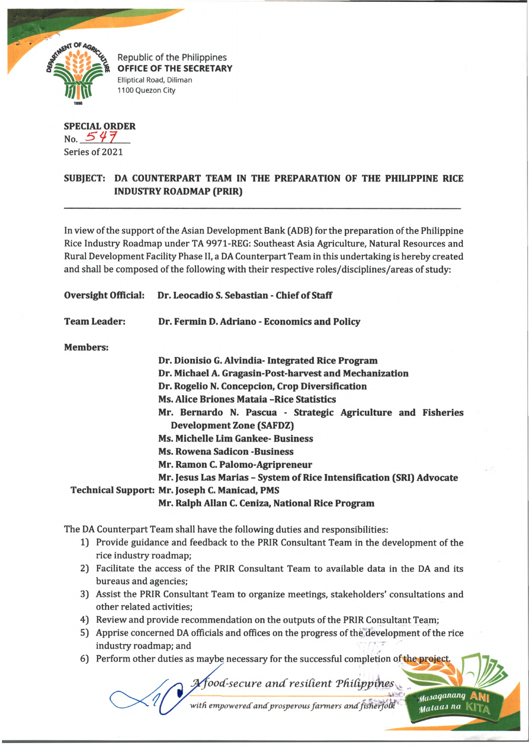

Republic of the Philippines OFFICE OF THE SECRETARY Elliptical Road, Diliman 1100 Quezon City

**SPECIAL ORDER** No. *5 < H* Series of 2021

## **SUBJECT: DA COUNTERPART TEAM IN THE PREPARATION OF THE PHILIPPINE RICE INDUSTRY ROADMAP (PRIR)**

In view of the support of the Asian Development Bank (ADB) for the preparation of the Philippine Rice Industry Roadmap under TA 9971-REG: Southeast Asia Agriculture, Natural Resources and Rural Development Facility Phase II, a DA Counterpart Team in this undertaking is hereby created and shall be composed of the following with their respective roles/disciplines/areas of study:

**Oversight Official: Dr. Leocadio S. Sebastian - Chief of Staff**

**Team Leader: Dr. Fermin D. Adriano - Economics and Policy**

**Members:**

| Dr. Dionisio G. Alvindia - Integrated Rice Program                   |
|----------------------------------------------------------------------|
| Dr. Michael A. Gragasin-Post-harvest and Mechanization               |
| Dr. Rogelio N. Concepcion, Crop Diversification                      |
| <b>Ms. Alice Briones Mataia - Rice Statistics</b>                    |
| Mr. Bernardo N. Pascua - Strategic Agriculture and Fisheries         |
| <b>Development Zone (SAFDZ)</b>                                      |
| <b>Ms. Michelle Lim Gankee- Business</b>                             |
| <b>Ms. Rowena Sadicon -Business</b>                                  |
| Mr. Ramon C. Palomo-Agripreneur                                      |
| Mr. Jesus Las Marias - System of Rice Intensification (SRI) Advocate |
| <b>Technical Support: Mr. Joseph C. Manicad, PMS</b>                 |
| Mr. Ralph Allan C. Ceniza, National Rice Program                     |

The DA Counterpart Team shall have the following duties and responsibilities:

- 1) Provide guidance and feedback to the PRIR Consultant Team in the development of the rice industry roadmap;
- 2) Facilitate the access of the PRIR Consultant Team to available data in the DA and its bureaus and agencies;
- 3) Assist the PRIR Consultant Team to organize meetings, stakeholders' consultations and other related activities;
- 4) Review and provide recommendation on the outputs of the PRIR Consultant Team;
- 5) Apprise concerned DA officials and offices on the progress of the development of the rice industry roadmap; and
- 6) Perform other duties as maybe necessary for the successful completion of the project.

*A***food-secure and resilient Philippines** 

Masaganang Mataas na

with empowered and prosperous farmers and fisherfolk